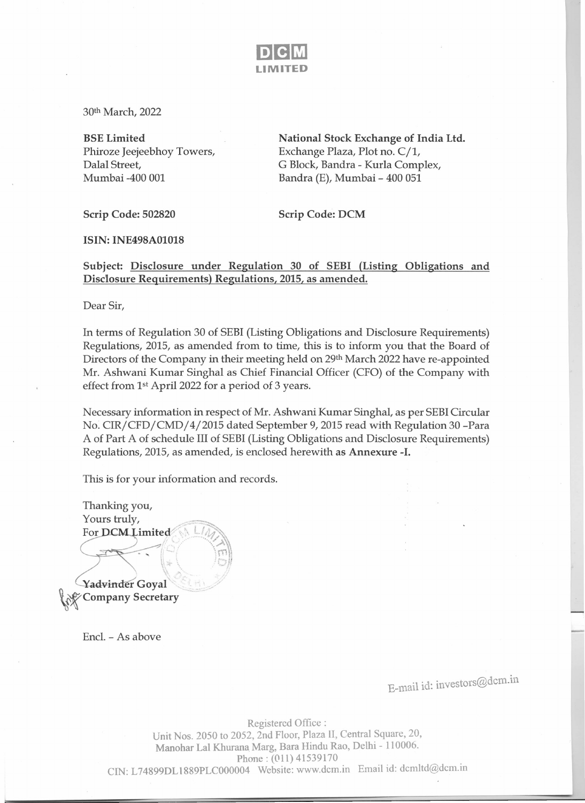

30th March, 2022

BSE Limited Phiroze Jeejeebhoy Towers, Dalal Street, Mumbai -400 001

National Stock Exchange of India Ltd. Exchange Plaza, Plot no. C/l, G Block, Bandra - Kurla Complex, Bandra (E), Mumbai - 400 051

Scrip Code: 502820 Scrip Code: DCM

**ISIN: INE498A01018** 

Subject: Disclosure under Regulation 30 of SEBI (Listing Obligations and Disclosure Requirements) Regulations, 2015, as amended.

Dear Sir,

In terms of Regulation 30 of SEBI(Listing Obligations and Disclosure Requirements) Regulations, 2015, as amended from to time, this is to inform you that the Board of Directors of the Company in their meeting held on 29th March 2022 have re-appointed Mr. Ashwani Kumar Singhal as Chief Financial Officer (CFO) of the Company with effect from 1st Apri12022 for a period of 3 years.

Necessary information in respect of Mr. Ashwani Kumar Singhal, as per SEBICircular No: CIR/CFD/CMD/4/2015 dated September 9, 2015 read with Regulation 30 -Para A of Part A of schedule III of SEBI(Listing Obligations and Disclosure Requirements) Regulations, 2015, as amended, is enclosed herewith as Annexure -I.

This is for your information and records.

Thanking you, Yours truly, For **DCM** Limited *r:"/'* ""'<-~, , France 19/2 .- 19/2 ... \' ; :"'1 *II*  $\mathcal{N} = \mathcal{N}$ .<br>.<br>.<br>. Yadvinder Goyal Company Secretary

Encl. - As above

E-mail id: investors@dcm.in

Registered Office : Unit Nos. 2050 to 2052, 2nd Floor, Plaza ll, Central Square, 20, Manohar Lal Khurana Marg, Bara Hindu Rao, Delhi - 110006. Phone: (011) 41539170 CIN: L74899DLl889PLC000004 Website: www.dcm.in Email id: dcmltd@dcm.in